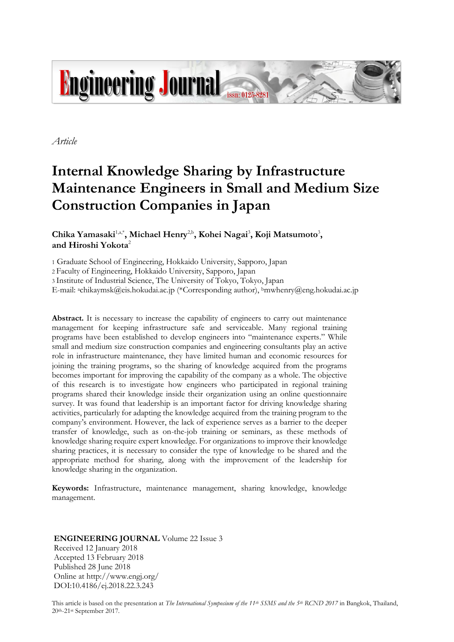

*Article*

# **Internal Knowledge Sharing by Infrastructure Maintenance Engineers in Small and Medium Size Construction Companies in Japan**

 $\mathbf{Chika Yamasaki^{1,a,*}}, \mathbf{Michael Henry^{2,b}}, \mathbf{Kohei Nagai^{3}}, \mathbf{Koji Matsumoto^{3}},$ **and Hiroshi Yokota**<sup>2</sup>

1 Graduate School of Engineering, Hokkaido University, Sapporo, Japan

2 Faculty of Engineering, Hokkaido University, Sapporo, Japan

3 Institute of Industrial Science, The University of Tokyo, Tokyo, Japan

E-mail: achikaymsk@eis.hokudai.ac.jp (\*Corresponding author), <sup>b</sup>mwhenry@eng.hokudai.ac.jp

**Abstract.** It is necessary to increase the capability of engineers to carry out maintenance management for keeping infrastructure safe and serviceable. Many regional training programs have been established to develop engineers into "maintenance experts." While small and medium size construction companies and engineering consultants play an active role in infrastructure maintenance, they have limited human and economic resources for joining the training programs, so the sharing of knowledge acquired from the programs becomes important for improving the capability of the company as a whole. The objective of this research is to investigate how engineers who participated in regional training programs shared their knowledge inside their organization using an online questionnaire survey. It was found that leadership is an important factor for driving knowledge sharing activities, particularly for adapting the knowledge acquired from the training program to the company's environment. However, the lack of experience serves as a barrier to the deeper transfer of knowledge, such as on-the-job training or seminars, as these methods of knowledge sharing require expert knowledge. For organizations to improve their knowledge sharing practices, it is necessary to consider the type of knowledge to be shared and the appropriate method for sharing, along with the improvement of the leadership for knowledge sharing in the organization.

**Keywords:** Infrastructure, maintenance management, sharing knowledge, knowledge management.

# **ENGINEERING JOURNAL** Volume 22 Issue 3

Received 12 January 2018 Accepted 13 February 2018 Published 28 June 2018 Online at http://www.engj.org/ DOI:10.4186/ej.2018.22.3.243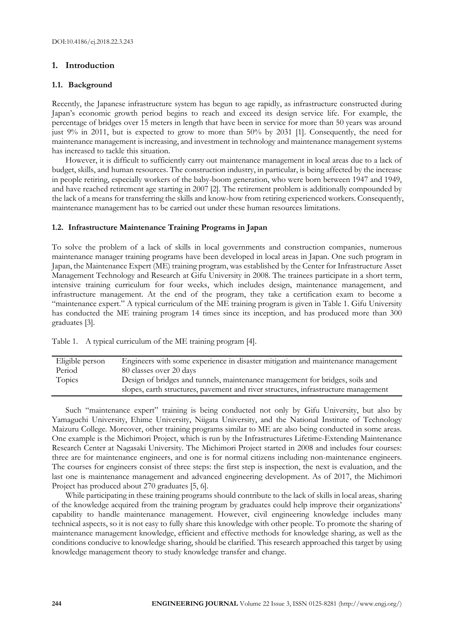#### **1. Introduction**

#### **1.1. Background**

Recently, the Japanese infrastructure system has begun to age rapidly, as infrastructure constructed during Japan's economic growth period begins to reach and exceed its design service life. For example, the percentage of bridges over 15 meters in length that have been in service for more than 50 years was around just 9% in 2011, but is expected to grow to more than 50% by 2031 [1]. Consequently, the need for maintenance management is increasing, and investment in technology and maintenance management systems has increased to tackle this situation.

However, it is difficult to sufficiently carry out maintenance management in local areas due to a lack of budget, skills, and human resources. The construction industry, in particular, is being affected by the increase in people retiring, especially workers of the baby-boom generation, who were born between 1947 and 1949, and have reached retirement age starting in 2007 [2]. The retirement problem is additionally compounded by the lack of a means for transferring the skills and know-how from retiring experienced workers. Consequently, maintenance management has to be carried out under these human resources limitations.

#### **1.2. Infrastructure Maintenance Training Programs in Japan**

To solve the problem of a lack of skills in local governments and construction companies, numerous maintenance manager training programs have been developed in local areas in Japan. One such program in Japan, the Maintenance Expert (ME) training program, was established by the Center for Infrastructure Asset Management Technology and Research at Gifu University in 2008. The trainees participate in a short term, intensive training curriculum for four weeks, which includes design, maintenance management, and infrastructure management. At the end of the program, they take a certification exam to become a "maintenance expert." A typical curriculum of the ME training program is given in Table 1. Gifu University has conducted the ME training program 14 times since its inception, and has produced more than 300 graduates [3].

Table 1. A typical curriculum of the ME training program [4].

| Eligible person | Engineers with some experience in disaster mitigation and maintenance management   |
|-----------------|------------------------------------------------------------------------------------|
| Period          | 80 classes over 20 days                                                            |
| Topics          | Design of bridges and tunnels, maintenance management for bridges, soils and       |
|                 | slopes, earth structures, pavement and river structures, infrastructure management |

Such "maintenance expert" training is being conducted not only by Gifu University, but also by Yamaguchi University, Ehime University, Niigata University, and the National Institute of Technology Maizuru College. Moreover, other training programs similar to ME are also being conducted in some areas. One example is the Michimori Project, which is run by the Infrastructures Lifetime-Extending Maintenance Research Center at Nagasaki University. The Michimori Project started in 2008 and includes four courses: three are for maintenance engineers, and one is for normal citizens including non-maintenance engineers. The courses for engineers consist of three steps: the first step is inspection, the next is evaluation, and the last one is maintenance management and advanced engineering development. As of 2017, the Michimori Project has produced about 270 graduates [5, 6].

While participating in these training programs should contribute to the lack of skills in local areas, sharing of the knowledge acquired from the training program by graduates could help improve their organizations' capability to handle maintenance management. However, civil engineering knowledge includes many technical aspects, so it is not easy to fully share this knowledge with other people. To promote the sharing of maintenance management knowledge, efficient and effective methods for knowledge sharing, as well as the conditions conducive to knowledge sharing, should be clarified. This research approached this target by using knowledge management theory to study knowledge transfer and change.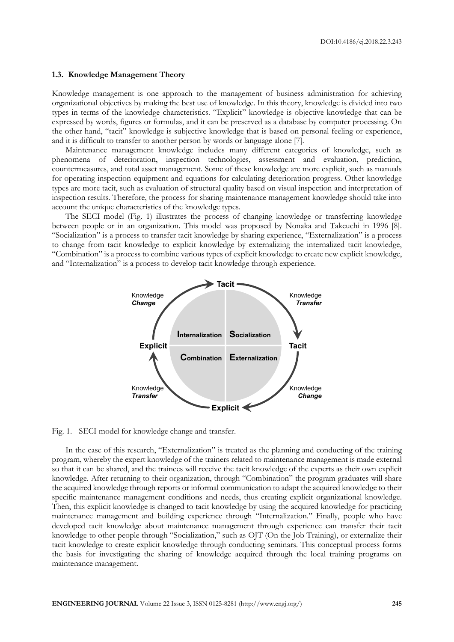#### **1.3. Knowledge Management Theory**

Knowledge management is one approach to the management of business administration for achieving organizational objectives by making the best use of knowledge. In this theory, knowledge is divided into two types in terms of the knowledge characteristics. "Explicit" knowledge is objective knowledge that can be expressed by words, figures or formulas, and it can be preserved as a database by computer processing. On the other hand, "tacit" knowledge is subjective knowledge that is based on personal feeling or experience, and it is difficult to transfer to another person by words or language alone [7].

Maintenance management knowledge includes many different categories of knowledge, such as phenomena of deterioration, inspection technologies, assessment and evaluation, prediction, countermeasures, and total asset management. Some of these knowledge are more explicit, such as manuals for operating inspection equipment and equations for calculating deterioration progress. Other knowledge types are more tacit, such as evaluation of structural quality based on visual inspection and interpretation of inspection results. Therefore, the process for sharing maintenance management knowledge should take into account the unique characteristics of the knowledge types.

The SECI model (Fig. 1) illustrates the process of changing knowledge or transferring knowledge between people or in an organization. This model was proposed by Nonaka and Takeuchi in 1996 [8]. "Socialization" is a process to transfer tacit knowledge by sharing experience, "Externalization" is a process to change from tacit knowledge to explicit knowledge by externalizing the internalized tacit knowledge, "Combination" is a process to combine various types of explicit knowledge to create new explicit knowledge, and "Internalization" is a process to develop tacit knowledge through experience.



Fig. 1. SECI model for knowledge change and transfer.

In the case of this research, "Externalization" is treated as the planning and conducting of the training program, whereby the expert knowledge of the trainers related to maintenance management is made external so that it can be shared, and the trainees will receive the tacit knowledge of the experts as their own explicit knowledge. After returning to their organization, through "Combination" the program graduates will share the acquired knowledge through reports or informal communication to adapt the acquired knowledge to their specific maintenance management conditions and needs, thus creating explicit organizational knowledge. Then, this explicit knowledge is changed to tacit knowledge by using the acquired knowledge for practicing maintenance management and building experience through "Internalization." Finally, people who have developed tacit knowledge about maintenance management through experience can transfer their tacit knowledge to other people through "Socialization," such as OJT (On the Job Training), or externalize their tacit knowledge to create explicit knowledge through conducting seminars. This conceptual process forms the basis for investigating the sharing of knowledge acquired through the local training programs on maintenance management.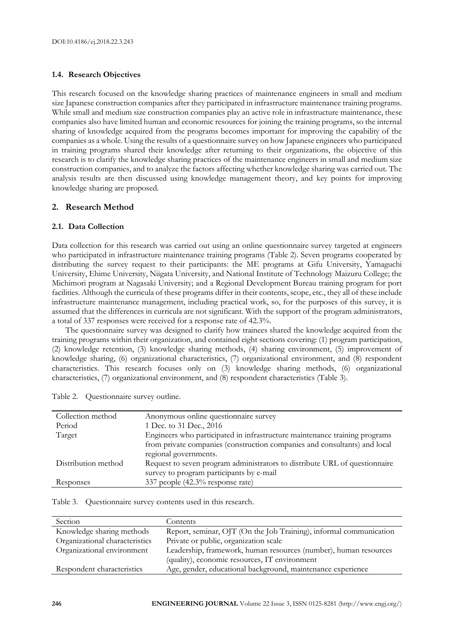## **1.4. Research Objectives**

This research focused on the knowledge sharing practices of maintenance engineers in small and medium size Japanese construction companies after they participated in infrastructure maintenance training programs. While small and medium size construction companies play an active role in infrastructure maintenance, these companies also have limited human and economic resources for joining the training programs, so the internal sharing of knowledge acquired from the programs becomes important for improving the capability of the companies as a whole. Using the results of a questionnaire survey on how Japanese engineers who participated in training programs shared their knowledge after returning to their organizations, the objective of this research is to clarify the knowledge sharing practices of the maintenance engineers in small and medium size construction companies, and to analyze the factors affecting whether knowledge sharing was carried out. The analysis results are then discussed using knowledge management theory, and key points for improving knowledge sharing are proposed.

# **2. Research Method**

## **2.1. Data Collection**

Data collection for this research was carried out using an online questionnaire survey targeted at engineers who participated in infrastructure maintenance training programs (Table 2). Seven programs cooperated by distributing the survey request to their participants: the ME programs at Gifu University, Yamaguchi University, Ehime University, Niigata University, and National Institute of Technology Maizuru College; the Michimori program at Nagasaki University; and a Regional Development Bureau training program for port facilities. Although the curricula of these programs differ in their contents, scope, etc., they all of these include infrastructure maintenance management, including practical work, so, for the purposes of this survey, it is assumed that the differences in curricula are not significant. With the support of the program administrators, a total of 337 responses were received for a response rate of 42.3%.

The questionnaire survey was designed to clarify how trainees shared the knowledge acquired from the training programs within their organization, and contained eight sections covering: (1) program participation, (2) knowledge retention, (3) knowledge sharing methods, (4) sharing environment, (5) improvement of knowledge sharing, (6) organizational characteristics, (7) organizational environment, and (8) respondent characteristics. This research focuses only on (3) knowledge sharing methods, (6) organizational characteristics, (7) organizational environment, and (8) respondent characteristics (Table 3).

| Collection method   | Anonymous online questionnaire survey                                      |
|---------------------|----------------------------------------------------------------------------|
| Period              | 1 Dec. to 31 Dec., 2016                                                    |
| Target              | Engineers who participated in infrastructure maintenance training programs |
|                     | from private companies (construction companies and consultants) and local  |
|                     | regional governments.                                                      |
| Distribution method | Request to seven program administrators to distribute URL of questionnaire |
|                     | survey to program participants by e-mail                                   |
| Responses           | 337 people (42.3% response rate)                                           |
|                     |                                                                            |

Table 2. Questionnaire survey outline.

Table 3. Questionnaire survey contents used in this research.

| Section                        | Contents                                                           |
|--------------------------------|--------------------------------------------------------------------|
| Knowledge sharing methods      | Report, seminar, OJT (On the Job Training), informal communication |
| Organizational characteristics | Private or public, organization scale                              |
| Organizational environment     | Leadership, framework, human resources (number), human resources   |
|                                | (quality), economic resources, IT environment                      |
| Respondent characteristics     | Age, gender, educational background, maintenance experience        |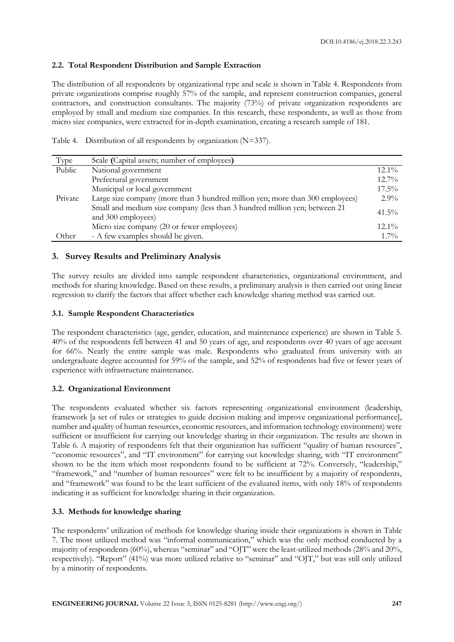# **2.2. Total Respondent Distribution and Sample Extraction**

The distribution of all respondents by organizational type and scale is shown in Table 4. Respondents from private organizations comprise roughly 57% of the sample, and represent construction companies, general contractors, and construction consultants. The majority (73%) of private organization respondents are employed by small and medium size companies. In this research, these respondents, as well as those from micro size companies, were extracted for in-depth examination, creating a research sample of 181.

Table 4. Distribution of all respondents by organization (N=337).

| Type    | Scale (Capital assets; number of employees)                                   |          |
|---------|-------------------------------------------------------------------------------|----------|
| Public  | National government                                                           | $12.1\%$ |
|         | Prefectural government                                                        | $12.7\%$ |
|         | Municipal or local government                                                 | $17.5\%$ |
| Private | Large size company (more than 3 hundred million yen; more than 300 employees) | $2.9\%$  |
|         | Small and medium size company (less than 3 hundred million yen; between 21    | $41.5\%$ |
|         | and 300 employees)                                                            |          |
|         | Micro size company (20 or fewer employees)                                    | $12.1\%$ |
| Other   | - A few examples should be given.                                             | $1.7\%$  |

# **3. Survey Results and Preliminary Analysis**

The survey results are divided into sample respondent characteristics, organizational environment, and methods for sharing knowledge. Based on these results, a preliminary analysis is then carried out using linear regression to clarify the factors that affect whether each knowledge sharing method was carried out.

## **3.1. Sample Respondent Characteristics**

The respondent characteristics (age, gender, education, and maintenance experience) are shown in Table 5. 40% of the respondents fell between 41 and 50 years of age, and respondents over 40 years of age account for 66%. Nearly the entire sample was male. Respondents who graduated from university with an undergraduate degree accounted for 59% of the sample, and 52% of respondents had five or fewer years of experience with infrastructure maintenance.

# **3.2. Organizational Environment**

The respondents evaluated whether six factors representing organizational environment (leadership, framework [a set of rules or strategies to guide decision making and improve organizational performance], number and quality of human resources, economic resources, and information technology environment) were sufficient or insufficient for carrying out knowledge sharing in their organization. The results are shown in Table 6. A majority of respondents felt that their organization has sufficient "quality of human resources", "economic resources", and "IT environment" for carrying out knowledge sharing, with "IT environment" shown to be the item which most respondents found to be sufficient at 72%. Conversely, "leadership," "framework," and "number of human resources" were felt to be insufficient by a majority of respondents, and "framework" was found to be the least sufficient of the evaluated items, with only 18% of respondents indicating it as sufficient for knowledge sharing in their organization.

# **3.3. Methods for knowledge sharing**

The respondents' utilization of methods for knowledge sharing inside their organizations is shown in Table 7. The most utilized method was "informal communication," which was the only method conducted by a majority of respondents (60%), whereas "seminar" and "OJT" were the least-utilized methods (28% and 20%, respectively). "Report" (41%) was more utilized relative to "seminar" and "OJT," but was still only utilized by a minority of respondents.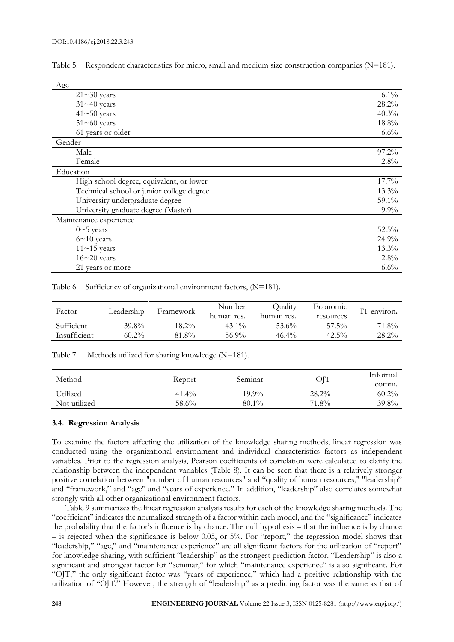| Age                                       |         |
|-------------------------------------------|---------|
| $21 \sim 30$ years                        | 6.1%    |
| $31 \sim 40$ years                        | 28.2%   |
| $41 \sim 50$ years                        | 40.3%   |
| $51 \sim 60$ years                        | 18.8%   |
| 61 years or older                         | $6.6\%$ |
| Gender                                    |         |
| Male                                      | 97.2%   |
| Female                                    | 2.8%    |
| Education                                 |         |
| High school degree, equivalent, or lower  | 17.7%   |
| Technical school or junior college degree | 13.3%   |
| University undergraduate degree           | 59.1%   |
| University graduate degree (Master)       | $9.9\%$ |
| Maintenance experience                    |         |
| $0 \sim 5$ years                          | 52.5%   |
| $6 \sim 10$ years                         | 24.9%   |
| $11 \sim 15$ years                        | 13.3%   |
| $16 \sim 20$ years                        | 2.8%    |
| 21 years or more                          | $6.6\%$ |

Table 5. Respondent characteristics for micro, small and medium size construction companies (N=181).

Table 6. Sufficiency of organizational environment factors, (N=181).

| Factor       | Leadership   | Framework | Number     | Ouality    | Economic  | environ. |
|--------------|--------------|-----------|------------|------------|-----------|----------|
|              |              |           | human res. | human res. | resources |          |
| Sufficient   | <b>39.8%</b> | $18.2\%$  | $43.1\%$   | 53.6%      | $57.5\%$  | 71.8%    |
| Insufficient | $60.2\%$     | 81.8%     | 56.9%      | $46.4\%$   | $42.5\%$  | $28.2\%$ |

Table 7. Methods utilized for sharing knowledge (N=181).

| Method       | Report   | Seminar  | OJT      | Informal |
|--------------|----------|----------|----------|----------|
|              |          |          |          | comm.    |
| Utilized     | $41.4\%$ | $19.9\%$ | $28.2\%$ | $60.2\%$ |
| Not utilized | 58.6%    | $80.1\%$ | 71.8%    | 39.8%    |

#### **3.4. Regression Analysis**

To examine the factors affecting the utilization of the knowledge sharing methods, linear regression was conducted using the organizational environment and individual characteristics factors as independent variables. Prior to the regression analysis, Pearson coefficients of correlation were calculated to clarify the relationship between the independent variables (Table 8). It can be seen that there is a relatively stronger positive correlation between "number of human resources" and "quality of human resources," "leadership" and "framework," and "age" and "years of experience." In addition, "leadership" also correlates somewhat strongly with all other organizational environment factors.

Table 9 summarizes the linear regression analysis results for each of the knowledge sharing methods. The "coefficient" indicates the normalized strength of a factor within each model, and the "significance" indicates the probability that the factor's influence is by chance. The null hypothesis – that the influence is by chance – is rejected when the significance is below 0.05, or 5%. For "report," the regression model shows that "leadership," "age," and "maintenance experience" are all significant factors for the utilization of "report" for knowledge sharing, with sufficient "leadership" as the strongest prediction factor. "Leadership" is also a significant and strongest factor for "seminar," for which "maintenance experience" is also significant. For "OJT," the only significant factor was "years of experience," which had a positive relationship with the utilization of "OJT." However, the strength of "leadership" as a predicting factor was the same as that of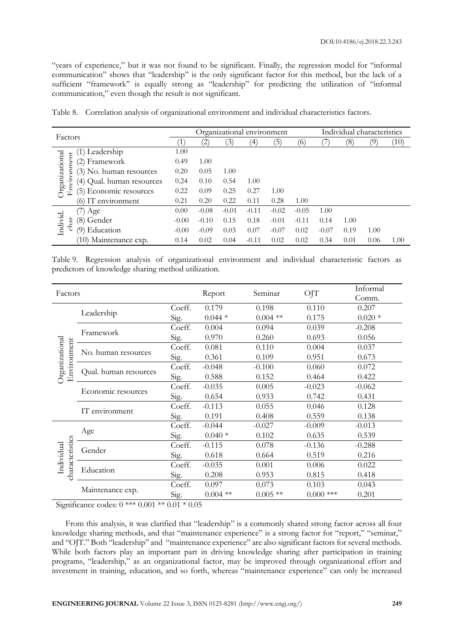"years of experience," but it was not found to be significant. Finally, the regression model for "informal communication" shows that "leadership" is the only significant factor for this method, but the lack of a sufficient "framework" is equally strong as "leadership" for predicting the utilization of "informal communication," even though the result is not significant.

| Factors                                       |         | Organizational environment |         |                   |         |         |         | Individual characteristics |      |      |
|-----------------------------------------------|---------|----------------------------|---------|-------------------|---------|---------|---------|----------------------------|------|------|
|                                               |         | (2)                        | (3)     | $\left( 4\right)$ | (5)     | (6)     |         | (8)                        | (9)  | (10) |
| (1) Leadership                                | 1.00    |                            |         |                   |         |         |         |                            |      |      |
| (2) Framework                                 | 0.49    | 1.00                       |         |                   |         |         |         |                            |      |      |
| (3) No. human resources                       | 0.20    | 0.05                       | 1.00    |                   |         |         |         |                            |      |      |
| (4) Qual. human resources                     | 0.24    | 0.10                       | 0.54    | 1.00              |         |         |         |                            |      |      |
| Organizational<br>È<br>(5) Economic resources | 0.22    | 0.09                       | 0.25    | 0.27              | 1.00    |         |         |                            |      |      |
| IT environment<br>(6)                         | 0.21    | 0.20                       | 0.22    | 0.11              | 0.28    | 1.00    |         |                            |      |      |
| (7) Age                                       | 0.00    | $-0.08$                    | $-0.01$ | $-0.11$           | $-0.02$ | $-0.05$ | 1.00    |                            |      |      |
| Individ.<br>rey.<br>(8) Gender                | $-0.00$ | $-0.10$                    | 0.15    | 0.18              | $-0.01$ | $-0.11$ | 0.14    | 1.00                       |      |      |
| Education<br>(9)                              | $-0.00$ | $-0.09$                    | 0.03    | 0.07              | $-0.07$ | 0.02    | $-0.07$ | 0.19                       | 1.00 |      |
| (10) Maintenance exp.                         | 0.14    | 0.02                       | 0.04    | $-0.11$           | 0.02    | 0.02    | 0.34    | 0.01                       | 0.06 | 1.00 |

Table 8. Correlation analysis of organizational environment and individual characteristics factors.

Table 9. Regression analysis of organizational environment and individual characteristic factors as predictors of knowledge sharing method utilization.

| Factors    |                                                      |        |            | Seminar    | OJT         | Informal |
|------------|------------------------------------------------------|--------|------------|------------|-------------|----------|
|            |                                                      |        | Report     |            |             | Comm.    |
|            |                                                      | Coeff. | 0.179      | 0.198      | 0.110       | 0.207    |
|            | Leadership                                           | Sig.   | $0.044*$   | $0.004$ ** | 0.175       | $0.020*$ |
|            | Framework                                            | Coeff. | 0.004      | 0.094      | 0.039       | $-0.208$ |
|            |                                                      | Sig.   | 0.970      | 0.260      | 0.693       | 0.056    |
|            | Organizational<br>Environment<br>No. human resources | Coeff. | 0.081      | 0.110      | 0.004       | 0.037    |
|            |                                                      | Sig.   | 0.361      | 0.109      | 0.951       | 0.673    |
|            |                                                      | Coeff. | $-0.048$   | $-0.100$   | 0.060       | 0.072    |
|            | Qual. human resources                                | Sig.   | 0.588      | 0.152      | 0.464       | 0.422    |
|            |                                                      | Coeff. | $-0.035$   | 0.005      | $-0.023$    | $-0.062$ |
|            | Economic resources                                   | Sig.   | 0.654      | 0.933      | 0.742       | 0.431    |
|            | IT environment                                       | Coeff. | $-0.113$   | 0.055      | 0.046       | 0.128    |
|            |                                                      | Sig.   | 0.191      | 0.408      | 0.559       | 0.138    |
|            |                                                      | Coeff. | $-0.044$   | $-0.027$   | $-0.009$    | $-0.013$ |
|            | Age                                                  | Sig.   | $0.040*$   | 0.102      | 0.635       | 0.539    |
|            | Gender                                               | Coeff. | $-0.115$   | 0.078      | $-0.136$    | $-0.288$ |
|            |                                                      | Sig.   | 0.618      | 0.664      | 0.519       | 0.216    |
| Individual |                                                      | Coeff. | $-0.035$   | 0.001      | 0.006       | 0.022    |
|            | characteristics<br>Education                         | Sig.   | 0.208      | 0.953      | 0.815       | 0.418    |
|            |                                                      | Coeff. | 0.097      | 0.073      | 0.103       | 0.043    |
|            | Maintenance exp.                                     |        | $0.004$ ** | $0.005$ ** | $0.000$ *** | 0.201    |

Significance codes: 0 \*\*\* 0.001 \*\* 0.01 \* 0.05

From this analysis, it was clarified that "leadership" is a commonly shared strong factor across all four knowledge sharing methods, and that "maintenance experience" is a strong factor for "report," "seminar," and "OJT." Both "leadership" and "maintenance experience" are also significant factors for several methods. While both factors play an important part in driving knowledge sharing after participation in training programs, "leadership," as an organizational factor, may be improved through organizational effort and investment in training, education, and so forth, whereas "maintenance experience" can only be increased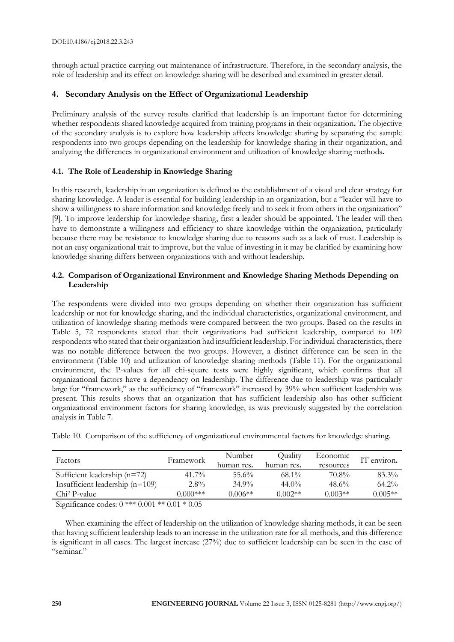through actual practice carrying out maintenance of infrastructure. Therefore, in the secondary analysis, the role of leadership and its effect on knowledge sharing will be described and examined in greater detail.

# **4. Secondary Analysis on the Effect of Organizational Leadership**

Preliminary analysis of the survey results clarified that leadership is an important factor for determining whether respondents shared knowledge acquired from training programs in their organization**.** The objective of the secondary analysis is to explore how leadership affects knowledge sharing by separating the sample respondents into two groups depending on the leadership for knowledge sharing in their organization, and analyzing the differences in organizational environment and utilization of knowledge sharing methods**.** 

# **4.1. The Role of Leadership in Knowledge Sharing**

In this research, leadership in an organization is defined as the establishment of a visual and clear strategy for sharing knowledge. A leader is essential for building leadership in an organization, but a "leader will have to show a willingness to share information and knowledge freely and to seek it from others in the organization" [9]. To improve leadership for knowledge sharing, first a leader should be appointed. The leader will then have to demonstrate a willingness and efficiency to share knowledge within the organization, particularly because there may be resistance to knowledge sharing due to reasons such as a lack of trust. Leadership is not an easy organizational trait to improve, but the value of investing in it may be clarified by examining how knowledge sharing differs between organizations with and without leadership.

# **4.2. Comparison of Organizational Environment and Knowledge Sharing Methods Depending on Leadership**

The respondents were divided into two groups depending on whether their organization has sufficient leadership or not for knowledge sharing, and the individual characteristics, organizational environment, and utilization of knowledge sharing methods were compared between the two groups. Based on the results in Table 5, 72 respondents stated that their organizations had sufficient leadership, compared to 109 respondents who stated that their organization had insufficient leadership. For individual characteristics, there was no notable difference between the two groups. However, a distinct difference can be seen in the environment (Table 10) and utilization of knowledge sharing methods (Table 11). For the organizational environment, the P-values for all chi-square tests were highly significant, which confirms that all organizational factors have a dependency on leadership. The difference due to leadership was particularly large for "framework," as the sufficiency of "framework" increased by 39% when sufficient leadership was present. This results shows that an organization that has sufficient leadership also has other sufficient organizational environment factors for sharing knowledge, as was previously suggested by the correlation analysis in Table 7.

| Factors                           | Framework  | Number<br>human res. | Ouality<br>human res. | Economic<br>resources | IT environ. |  |  |  |  |
|-----------------------------------|------------|----------------------|-----------------------|-----------------------|-------------|--|--|--|--|
| Sufficient leadership $(n=72)$    | $41.7\%$   | 55.6%                | $68.1\%$              | 70.8%                 | $83.3\%$    |  |  |  |  |
| Insufficient leadership $(n=109)$ | $2.8\%$    | $34.9\%$             | $44.0\%$              | $48.6\%$              | $64.2\%$    |  |  |  |  |
| Chi <sup>2</sup> P-value          | $0.000***$ | $0.006**$            | $0.002**$             | $0.003**$             | $0.005**$   |  |  |  |  |
| $\sim$ $\sim$                     |            |                      |                       |                       |             |  |  |  |  |

Table 10. Comparison of the sufficiency of organizational environmental factors for knowledge sharing.

Significance codes: 0 \*\*\* 0.001 \*\* 0.01 \* 0.05

When examining the effect of leadership on the utilization of knowledge sharing methods, it can be seen that having sufficient leadership leads to an increase in the utilization rate for all methods, and this difference is significant in all cases. The largest increase (27%) due to sufficient leadership can be seen in the case of "seminar."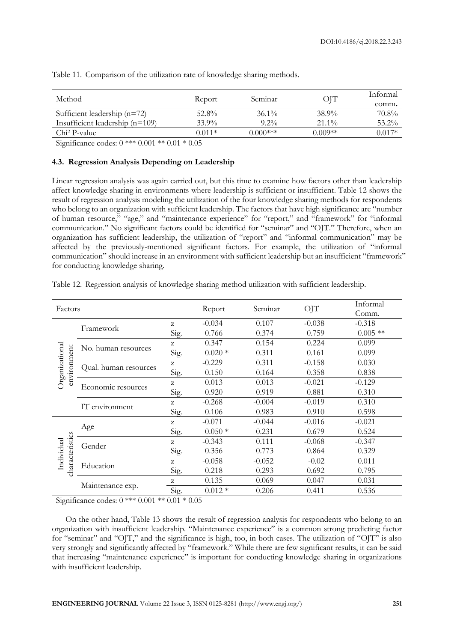|          |             |           | Informal |
|----------|-------------|-----------|----------|
|          |             |           | comm.    |
| $52.8\%$ | $36.1\%$    | 38.9%     | 70.8%    |
| $33.9\%$ | $9.2\%$     | $21.1\%$  | $53.2\%$ |
| $0.011*$ | $0.000$ *** | $0.009**$ | $0.017*$ |
|          | Report      | Seminar   | OIT      |

Table 11. Comparison of the utilization rate of knowledge sharing methods.

Significance codes: 0 \*\*\* 0.001 \*\* 0.01 \* 0.05

#### **4.3. Regression Analysis Depending on Leadership**

Linear regression analysis was again carried out, but this time to examine how factors other than leadership affect knowledge sharing in environments where leadership is sufficient or insufficient. Table 12 shows the result of regression analysis modeling the utilization of the four knowledge sharing methods for respondents who belong to an organization with sufficient leadership. The factors that have high significance are "number of human resource," "age," and "maintenance experience" for "report," and "framework" for "informal communication." No significant factors could be identified for "seminar" and "OJT." Therefore, when an organization has sufficient leadership, the utilization of "report" and "informal communication" may be affected by the previously-mentioned significant factors. For example, the utilization of "informal communication" should increase in an environment with sufficient leadership but an insufficient "framework" for conducting knowledge sharing.

| Table 12. Regression analysis of knowledge sharing method utilization with sufficient leadership. |  |  |  |  |  |
|---------------------------------------------------------------------------------------------------|--|--|--|--|--|
|                                                                                                   |  |  |  |  |  |

| Factors                       |                       |      | Report   | Seminar  | OJT      | Informal   |
|-------------------------------|-----------------------|------|----------|----------|----------|------------|
|                               |                       |      |          |          |          | Comm.      |
| Organizational<br>environment | Framework             | z    | $-0.034$ | 0.107    | $-0.038$ | $-0.318$   |
|                               |                       | Sig. | 0.766    | 0.374    | 0.759    | $0.005$ ** |
|                               | No. human resources   | Z    | 0.347    | 0.154    | 0.224    | 0.099      |
|                               |                       | Sig. | $0.020*$ | 0.311    | 0.161    | 0.099      |
|                               | Qual. human resources | Z    | $-0.229$ | 0.311    | $-0.158$ | 0.030      |
|                               |                       | Sig. | 0.150    | 0.164    | 0.358    | 0.838      |
|                               | Economic resources    | Z    | 0.013    | 0.013    | $-0.021$ | $-0.129$   |
|                               |                       | Sig. | 0.920    | 0.919    | 0.881    | 0.310      |
|                               | IT environment        | z    | $-0.268$ | $-0.004$ | $-0.019$ | 0.310      |
|                               |                       | Sig. | 0.106    | 0.983    | 0.910    | 0.598      |
| characteristics<br>Individual | Age                   | Z    | $-0.071$ | $-0.044$ | $-0.016$ | $-0.021$   |
|                               |                       | Sig. | $0.050*$ | 0.231    | 0.679    | 0.524      |
|                               | Gender                | Z    | $-0.343$ | 0.111    | $-0.068$ | $-0.347$   |
|                               |                       | Sig. | 0.356    | 0.773    | 0.864    | 0.329      |
|                               | Education             | z    | $-0.058$ | $-0.052$ | $-0.02$  | 0.011      |
|                               |                       | Sig. | 0.218    | 0.293    | 0.692    | 0.795      |
|                               | Maintenance exp.      | z    | 0.135    | 0.069    | 0.047    | 0.031      |
|                               |                       | Sig. | $0.012*$ | 0.206    | 0.411    | 0.536      |

Significance codes: 0 \*\*\* 0.001 \*\* 0.01 \* 0.05

On the other hand, Table 13 shows the result of regression analysis for respondents who belong to an organization with insufficient leadership. "Maintenance experience" is a common strong predicting factor for "seminar" and "OJT," and the significance is high, too, in both cases. The utilization of "OJT" is also very strongly and significantly affected by "framework." While there are few significant results, it can be said that increasing "maintenance experience" is important for conducting knowledge sharing in organizations with insufficient leadership.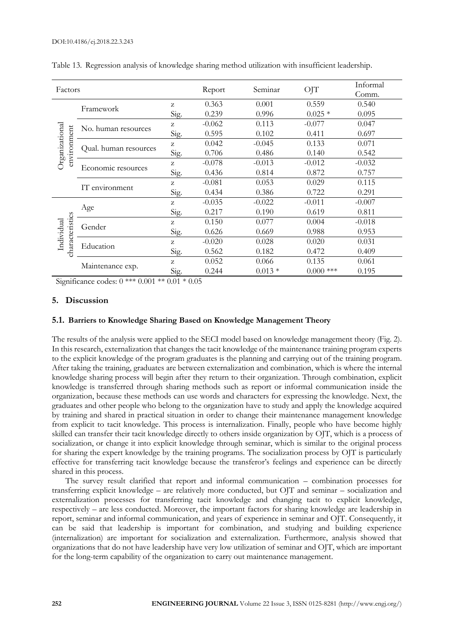| Factors                       |                       |      | Report   | Seminar  | OJT         | Informal<br>Comm. |
|-------------------------------|-----------------------|------|----------|----------|-------------|-------------------|
|                               | Framework             | z    | 0.363    | 0.001    | 0.559       | 0.540             |
| Organizational<br>environment |                       | Sig. | 0.239    | 0.996    | $0.025*$    | 0.095             |
|                               | No. human resources   | z    | $-0.062$ | 0.113    | $-0.077$    | 0.047             |
|                               |                       | Sig. | 0.595    | 0.102    | 0.411       | 0.697             |
|                               | Qual. human resources | z    | 0.042    | $-0.045$ | 0.133       | 0.071             |
|                               |                       | Sig. | 0.706    | 0.486    | 0.140       | 0.542             |
|                               | Economic resources    | z    | $-0.078$ | $-0.013$ | $-0.012$    | $-0.032$          |
|                               |                       | Sig. | 0.436    | 0.814    | 0.872       | 0.757             |
|                               | IT environment        | z    | $-0.081$ | 0.053    | 0.029       | 0.115             |
|                               |                       | Sig. | 0.434    | 0.386    | 0.722       | 0.291             |
| characteristics<br>Individual | Age                   | z    | $-0.035$ | $-0.022$ | $-0.011$    | $-0.007$          |
|                               |                       | Sig. | 0.217    | 0.190    | 0.619       | 0.811             |
|                               | Gender                | Z    | 0.150    | 0.077    | 0.004       | $-0.018$          |
|                               |                       | Sig. | 0.626    | 0.669    | 0.988       | 0.953             |
|                               | Education             | Z    | $-0.020$ | 0.028    | 0.020       | 0.031             |
|                               |                       | Sig. | 0.562    | 0.182    | 0.472       | 0.409             |
|                               | Maintenance exp.      | z    | 0.052    | 0.066    | 0.135       | 0.061             |
|                               |                       | Sig. | 0.244    | $0.013*$ | $0.000$ *** | 0.195             |

Table 13. Regression analysis of knowledge sharing method utilization with insufficient leadership.

Significance codes: 0 \*\*\* 0.001 \*\* 0.01 \* 0.05

## **5. Discussion**

#### **5.1. Barriers to Knowledge Sharing Based on Knowledge Management Theory**

The results of the analysis were applied to the SECI model based on knowledge management theory (Fig. 2). In this research, externalization that changes the tacit knowledge of the maintenance training program experts to the explicit knowledge of the program graduates is the planning and carrying out of the training program. After taking the training, graduates are between externalization and combination, which is where the internal knowledge sharing process will begin after they return to their organization. Through combination, explicit knowledge is transferred through sharing methods such as report or informal communication inside the organization, because these methods can use words and characters for expressing the knowledge. Next, the graduates and other people who belong to the organization have to study and apply the knowledge acquired by training and shared in practical situation in order to change their maintenance management knowledge from explicit to tacit knowledge. This process is internalization. Finally, people who have become highly skilled can transfer their tacit knowledge directly to others inside organization by OJT, which is a process of socialization, or change it into explicit knowledge through seminar, which is similar to the original process for sharing the expert knowledge by the training programs. The socialization process by OJT is particularly effective for transferring tacit knowledge because the transferor's feelings and experience can be directly shared in this process.

The survey result clarified that report and informal communication – combination processes for transferring explicit knowledge – are relatively more conducted, but OJT and seminar – socialization and externalization processes for transferring tacit knowledge and changing tacit to explicit knowledge, respectively – are less conducted. Moreover, the important factors for sharing knowledge are leadership in report, seminar and informal communication, and years of experience in seminar and OJT. Consequently, it can be said that leadership is important for combination, and studying and building experience (internalization) are important for socialization and externalization. Furthermore, analysis showed that organizations that do not have leadership have very low utilization of seminar and OJT, which are important for the long-term capability of the organization to carry out maintenance management.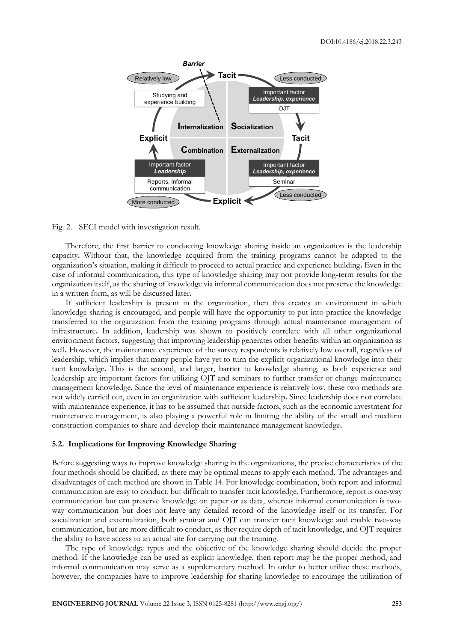

Fig. 2. SECI model with investigation result.

Therefore, the first barrier to conducting knowledge sharing inside an organization is the leadership capacity**.** Without that, the knowledge acquired from the training programs cannot be adapted to the organization's situation, making it difficult to proceed to actual practice and experience building**.** Even in the case of informal communication, this type of knowledge sharing may not provide long**-**term results for the organization itself, as the sharing of knowledge via informal communication does not preserve the knowledge in a written form, as will be discussed later**.** 

If sufficient leadership is present in the organization, then this creates an environment in which knowledge sharing is encouraged, and people will have the opportunity to put into practice the knowledge transferred to the organization from the training programs through actual maintenance management of infrastructure**.** In addition, leadership was shown to positively correlate with all other organizational environment factors, suggesting that improving leadership generates other benefits within an organization as well. However, the maintenance experience of the survey respondents is relatively low overall, regardless of leadership, which implies that many people have yet to turn the explicit organizational knowledge into their tacit knowledge**.** This is the second, and larger, barrier to knowledge sharing, as both experience and leadership are important factors for utilizing OJT and seminars to further transfer or change maintenance management knowledge**.** Since the level of maintenance experience is relatively low, these two methods are not widely carried out, even in an organization with sufficient leadership**.** Since leadership does not correlate with maintenance experience, it has to be assumed that outside factors, such as the economic investment for maintenance management, is also playing a powerful role in limiting the ability of the small and medium construction companies to share and develop their maintenance management knowledge**.**

#### **5.2. Implications for Improving Knowledge Sharing**

Before suggesting ways to improve knowledge sharing in the organizations, the precise characteristics of the four methods should be clarified, as there may be optimal means to apply each method. The advantages and disadvantages of each method are shown in Table 14. For knowledge combination, both report and informal communication are easy to conduct, but difficult to transfer tacit knowledge. Furthermore, report is one-way communication but can preserve knowledge on paper or as data, whereas informal communication is twoway communication but does not leave any detailed record of the knowledge itself or its transfer. For socialization and externalization, both seminar and OJT can transfer tacit knowledge and enable two-way communication, but are more difficult to conduct, as they require depth of tacit knowledge, and OJT requires the ability to have access to an actual site for carrying out the training.

The type of knowledge types and the objective of the knowledge sharing should decide the proper method. If the knowledge can be used as explicit knowledge, then report may be the proper method, and informal communication may serve as a supplementary method. In order to better utilize these methods, however, the companies have to improve leadership for sharing knowledge to encourage the utilization of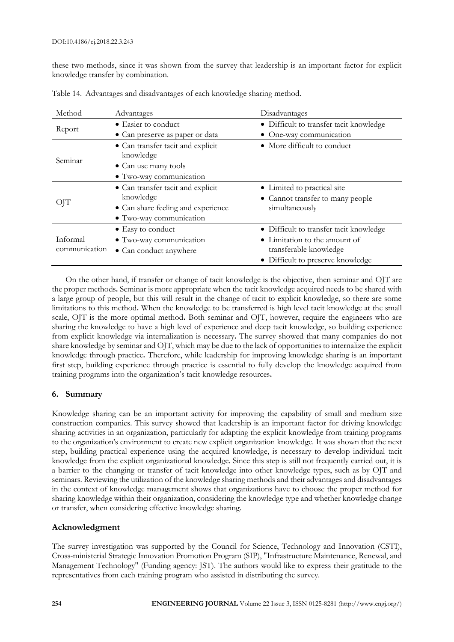these two methods, since it was shown from the survey that leadership is an important factor for explicit knowledge transfer by combination.

| Method                    | Advantages                                                                                                      | Disadvantages                                                                                                                           |  |  |
|---------------------------|-----------------------------------------------------------------------------------------------------------------|-----------------------------------------------------------------------------------------------------------------------------------------|--|--|
| Report                    | • Easier to conduct                                                                                             | • Difficult to transfer tacit knowledge                                                                                                 |  |  |
|                           | • Can preserve as paper or data                                                                                 | • One-way communication                                                                                                                 |  |  |
| Seminar                   | • Can transfer tacit and explicit<br>knowledge<br>• Can use many tools                                          | • More difficult to conduct                                                                                                             |  |  |
|                           | • Two-way communication                                                                                         |                                                                                                                                         |  |  |
| OJT                       | • Can transfer tacit and explicit<br>knowledge<br>• Can share feeling and experience<br>· Two-way communication | • Limited to practical site<br>• Cannot transfer to many people<br>simultaneously                                                       |  |  |
| Informal<br>communication | • Easy to conduct<br>· Two-way communication<br>• Can conduct anywhere                                          | • Difficult to transfer tacit knowledge<br>• Limitation to the amount of<br>transferable knowledge<br>• Difficult to preserve knowledge |  |  |

Table 14. Advantages and disadvantages of each knowledge sharing method.

On the other hand, if transfer or change of tacit knowledge is the objective, then seminar and OJT are the proper methods**.** Seminar is more appropriate when the tacit knowledge acquired needs to be shared with a large group of people, but this will result in the change of tacit to explicit knowledge, so there are some limitations to this method**.** When the knowledge to be transferred is high level tacit knowledge at the small scale, OJT is the more optimal method**.** Both seminar and OJT, however, require the engineers who are sharing the knowledge to have a high level of experience and deep tacit knowledge, so building experience from explicit knowledge via internalization is necessary**.** The survey showed that many companies do not share knowledge by seminar and OJT, which may be due to the lack of opportunities to internalize the explicit knowledge through practice**.** Therefore, while leadership for improving knowledge sharing is an important first step, building experience through practice is essential to fully develop the knowledge acquired from training programs into the organization's tacit knowledge resources**.**

# **6. Summary**

Knowledge sharing can be an important activity for improving the capability of small and medium size construction companies. This survey showed that leadership is an important factor for driving knowledge sharing activities in an organization, particularly for adapting the explicit knowledge from training programs to the organization's environment to create new explicit organization knowledge. It was shown that the next step, building practical experience using the acquired knowledge, is necessary to develop individual tacit knowledge from the explicit organizational knowledge. Since this step is still not frequently carried out, it is a barrier to the changing or transfer of tacit knowledge into other knowledge types, such as by OJT and seminars. Reviewing the utilization of the knowledge sharing methods and their advantages and disadvantages in the context of knowledge management shows that organizations have to choose the proper method for sharing knowledge within their organization, considering the knowledge type and whether knowledge change or transfer, when considering effective knowledge sharing.

# **Acknowledgment**

The survey investigation was supported by the Council for Science, Technology and Innovation (CSTI), Cross-ministerial Strategic Innovation Promotion Program (SIP), "Infrastructure Maintenance, Renewal, and Management Technology" (Funding agency: JST). The authors would like to express their gratitude to the representatives from each training program who assisted in distributing the survey.